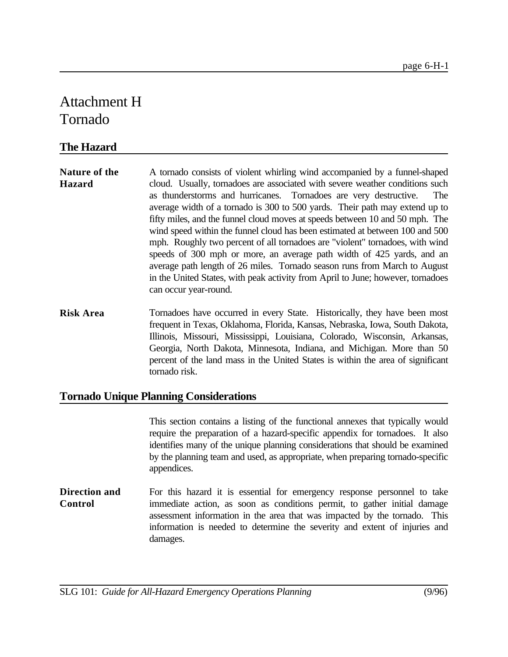## Attachment H Tornado

## **The Hazard**

| <b>Nature of the</b> | A tornado consists of violent whirling wind accompanied by a funnel-shaped      |
|----------------------|---------------------------------------------------------------------------------|
| <b>Hazard</b>        | cloud. Usually, tornadoes are associated with severe weather conditions such    |
|                      | as thunderstorms and hurricanes. Tornadoes are very destructive. The            |
|                      | average width of a tornado is 300 to 500 yards. Their path may extend up to     |
|                      | fifty miles, and the funnel cloud moves at speeds between 10 and 50 mph. The    |
|                      | wind speed within the funnel cloud has been estimated at between 100 and 500    |
|                      | mph. Roughly two percent of all tornadoes are "violent" tornadoes, with wind    |
|                      | speeds of 300 mph or more, an average path width of 425 yards, and an           |
|                      | average path length of 26 miles. Tornado season runs from March to August       |
|                      | in the United States, with peak activity from April to June; however, tornadoes |
|                      | can occur year-round.                                                           |

**Risk Area** Tornadoes have occurred in every State. Historically, they have been most frequent in Texas, Oklahoma, Florida, Kansas, Nebraska, Iowa, South Dakota, Illinois, Missouri, Mississippi, Louisiana, Colorado, Wisconsin, Arkansas, Georgia, North Dakota, Minnesota, Indiana, and Michigan. More than 50 percent of the land mass in the United States is within the area of significant tornado risk.

## **Tornado Unique Planning Considerations**

This section contains a listing of the functional annexes that typically would require the preparation of a hazard-specific appendix for tornadoes. It also identifies many of the unique planning considerations that should be examined by the planning team and used, as appropriate, when preparing tornado-specific appendices.

**Direction and Control** For this hazard it is essential for emergency response personnel to take immediate action, as soon as conditions permit, to gather initial damage assessment information in the area that was impacted by the tornado. This information is needed to determine the severity and extent of injuries and damages.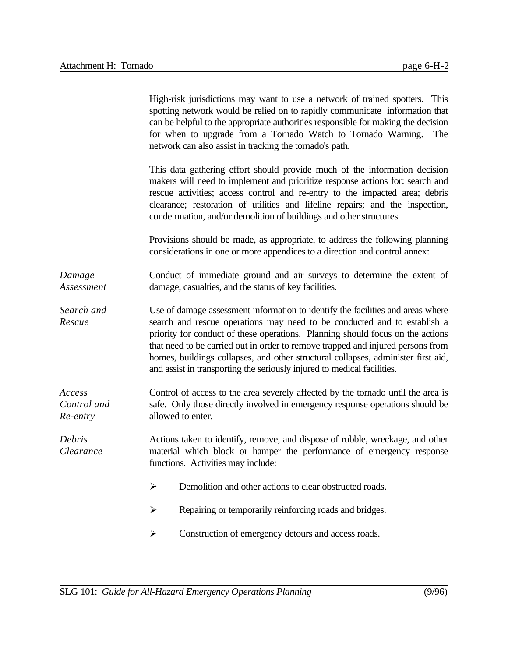|                                   | High-risk jurisdictions may want to use a network of trained spotters. This<br>spotting network would be relied on to rapidly communicate information that<br>can be helpful to the appropriate authorities responsible for making the decision<br>for when to upgrade from a Tornado Watch to Tornado Warning.<br>The<br>network can also assist in tracking the tornado's path.                                                                                                                |
|-----------------------------------|--------------------------------------------------------------------------------------------------------------------------------------------------------------------------------------------------------------------------------------------------------------------------------------------------------------------------------------------------------------------------------------------------------------------------------------------------------------------------------------------------|
|                                   | This data gathering effort should provide much of the information decision<br>makers will need to implement and prioritize response actions for: search and<br>rescue activities; access control and re-entry to the impacted area; debris<br>clearance; restoration of utilities and lifeline repairs; and the inspection,<br>condemnation, and/or demolition of buildings and other structures.                                                                                                |
|                                   | Provisions should be made, as appropriate, to address the following planning<br>considerations in one or more appendices to a direction and control annex:                                                                                                                                                                                                                                                                                                                                       |
| Damage<br>Assessment              | Conduct of immediate ground and air surveys to determine the extent of<br>damage, casualties, and the status of key facilities.                                                                                                                                                                                                                                                                                                                                                                  |
| Search and<br>Rescue              | Use of damage assessment information to identify the facilities and areas where<br>search and rescue operations may need to be conducted and to establish a<br>priority for conduct of these operations. Planning should focus on the actions<br>that need to be carried out in order to remove trapped and injured persons from<br>homes, buildings collapses, and other structural collapses, administer first aid,<br>and assist in transporting the seriously injured to medical facilities. |
| Access<br>Control and<br>Re-entry | Control of access to the area severely affected by the tornado until the area is<br>safe. Only those directly involved in emergency response operations should be<br>allowed to enter.                                                                                                                                                                                                                                                                                                           |
| Debris<br>Clearance               | Actions taken to identify, remove, and dispose of rubble, wreckage, and other<br>material which block or hamper the performance of emergency response<br>functions. Activities may include:                                                                                                                                                                                                                                                                                                      |
|                                   | Demolition and other actions to clear obstructed roads.<br>➤                                                                                                                                                                                                                                                                                                                                                                                                                                     |
|                                   | Repairing or temporarily reinforcing roads and bridges.<br>➤                                                                                                                                                                                                                                                                                                                                                                                                                                     |
|                                   | Construction of emergency detours and access roads.<br>➤                                                                                                                                                                                                                                                                                                                                                                                                                                         |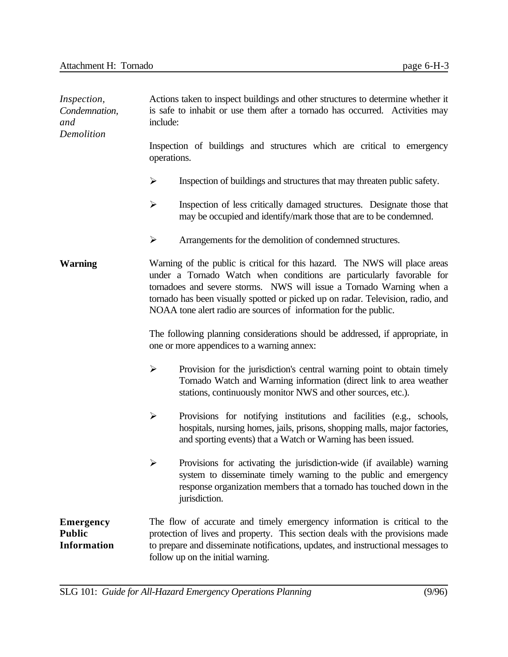| <i>Inspection,</i><br>Condemnation,<br>and<br>Demolition | Actions taken to inspect buildings and other structures to determine whether it<br>is safe to inhabit or use them after a tornado has occurred. Activities may<br>include:                                                                                                                                                                                                         |
|----------------------------------------------------------|------------------------------------------------------------------------------------------------------------------------------------------------------------------------------------------------------------------------------------------------------------------------------------------------------------------------------------------------------------------------------------|
|                                                          | Inspection of buildings and structures which are critical to emergency<br>operations.                                                                                                                                                                                                                                                                                              |
|                                                          | ➤<br>Inspection of buildings and structures that may threaten public safety.                                                                                                                                                                                                                                                                                                       |
|                                                          | ≻<br>Inspection of less critically damaged structures. Designate those that<br>may be occupied and identify/mark those that are to be condemned.                                                                                                                                                                                                                                   |
|                                                          | ➤<br>Arrangements for the demolition of condemned structures.                                                                                                                                                                                                                                                                                                                      |
| <b>Warning</b>                                           | Warning of the public is critical for this hazard. The NWS will place areas<br>under a Tornado Watch when conditions are particularly favorable for<br>tornadoes and severe storms. NWS will issue a Tornado Warning when a<br>tornado has been visually spotted or picked up on radar. Television, radio, and<br>NOAA tone alert radio are sources of information for the public. |
|                                                          | The following planning considerations should be addressed, if appropriate, in<br>one or more appendices to a warning annex:                                                                                                                                                                                                                                                        |
|                                                          | $\blacktriangleright$<br>Provision for the jurisdiction's central warning point to obtain timely<br>Tornado Watch and Warning information (direct link to area weather<br>stations, continuously monitor NWS and other sources, etc.).                                                                                                                                             |
|                                                          | ➤<br>Provisions for notifying institutions and facilities (e.g., schools,<br>hospitals, nursing homes, jails, prisons, shopping malls, major factories,<br>and sporting events) that a Watch or Warning has been issued.                                                                                                                                                           |
|                                                          | Provisions for activating the jurisdiction-wide (if available) warning<br>➤<br>system to disseminate timely warning to the public and emergency<br>response organization members that a tornado has touched down in the<br>jurisdiction.                                                                                                                                           |
| <b>Emergency</b><br><b>Public</b><br><b>Information</b>  | The flow of accurate and timely emergency information is critical to the<br>protection of lives and property. This section deals with the provisions made<br>to prepare and disseminate notifications, updates, and instructional messages to<br>follow up on the initial warning.                                                                                                 |